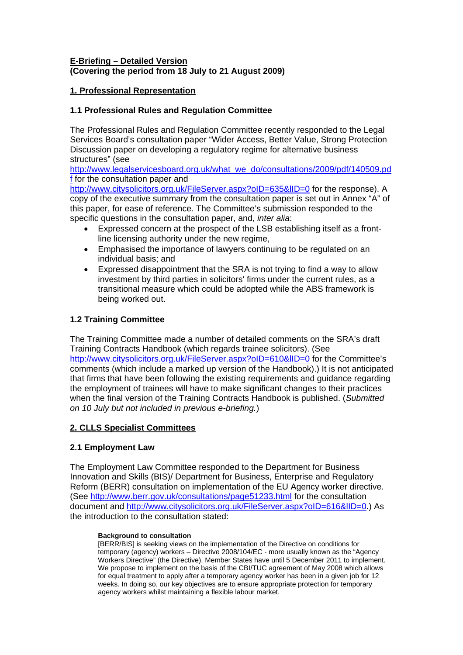## **E-Briefing – Detailed Version (Covering the period from 18 July to 21 August 2009)**

## **1. Professional Representation**

## **1.1 Professional Rules and Regulation Committee**

The Professional Rules and Regulation Committee recently responded to the Legal Services Board's consultation paper "Wider Access, Better Value, Strong Protection Discussion paper on developing a regulatory regime for alternative business structures" (see

[http://www.legalservicesboard.org.uk/what\\_we\\_do/consultations/2009/pdf/140509.pd](http://www.legalservicesboard.org.uk/what_we_do/consultations/2009/pdf/140509.pdf) [f](http://www.legalservicesboard.org.uk/what_we_do/consultations/2009/pdf/140509.pdf) for the consultation paper and

<http://www.citysolicitors.org.uk/FileServer.aspx?oID=635&lID=0> for the response). A copy of the executive summary from the consultation paper is set out in Annex "A" of this paper, for ease of reference. The Committee's submission responded to the specific questions in the consultation paper, and, *inter alia*:

- Expressed concern at the prospect of the LSB establishing itself as a frontline licensing authority under the new regime,
- Emphasised the importance of lawyers continuing to be regulated on an individual basis; and
- Expressed disappointment that the SRA is not trying to find a way to allow investment by third parties in solicitors' firms under the current rules, as a transitional measure which could be adopted while the ABS framework is being worked out.

# **1.2 Training Committee**

The Training Committee made a number of detailed comments on the SRA's draft Training Contracts Handbook (which regards trainee solicitors). (See http://www.citysolicitors.org.uk/FileServer.aspx?oID=610&IID=0 for the Committee's comments (which include a marked up version of the Handbook).) It is not anticipated that firms that have been following the existing requirements and guidance regarding the employment of trainees will have to make significant changes to their practices when the final version of the Training Contracts Handbook is published. (*Submitted on 10 July but not included in previous e-briefing.*)

## **2. CLLS Specialist Committees**

## **2.1 Employment Law**

The Employment Law Committee responded to the Department for Business Innovation and Skills (BIS)/ Department for Business, Enterprise and Regulatory Reform (BERR) consultation on implementation of the EU Agency worker directive. (See<http://www.berr.gov.uk/consultations/page51233.html> for the consultation document and [http://www.citysolicitors.org.uk/FileServer.aspx?oID=616&lID=0.](http://www.citysolicitors.org.uk/FileServer.aspx?oID=616&lID=0)) As the introduction to the consultation stated:

#### **Background to consultation**

[BERR/BIS] is seeking views on the implementation of the Directive on conditions for temporary (agency) workers – Directive 2008/104/EC - more usually known as the "Agency Workers Directive" (the Directive). Member States have until 5 December 2011 to implement. We propose to implement on the basis of the CBI/TUC agreement of May 2008 which allows for equal treatment to apply after a temporary agency worker has been in a given job for 12 weeks. In doing so, our key objectives are to ensure appropriate protection for temporary agency workers whilst maintaining a flexible labour market.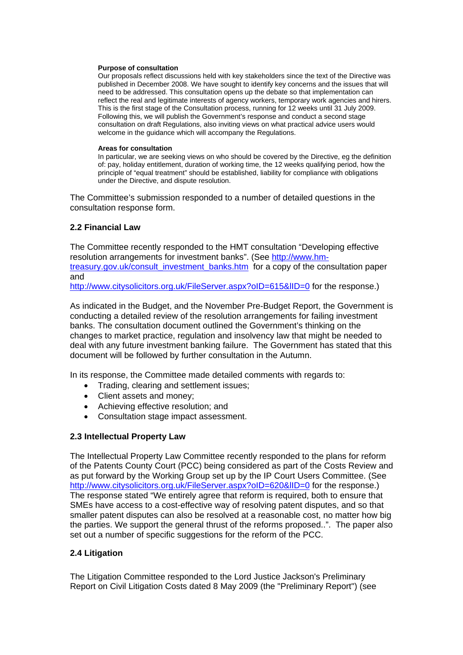#### **Purpose of consultation**

Our proposals reflect discussions held with key stakeholders since the text of the Directive was published in December 2008. We have sought to identify key concerns and the issues that will need to be addressed. This consultation opens up the debate so that implementation can reflect the real and legitimate interests of agency workers, temporary work agencies and hirers. This is the first stage of the Consultation process, running for 12 weeks until 31 July 2009. Following this, we will publish the Government's response and conduct a second stage consultation on draft Regulations, also inviting views on what practical advice users would welcome in the guidance which will accompany the Regulations.

#### **Areas for consultation**

In particular, we are seeking views on who should be covered by the Directive, eg the definition of: pay, holiday entitlement, duration of working time, the 12 weeks qualifying period, how the principle of "equal treatment" should be established, liability for compliance with obligations under the Directive, and dispute resolution.

The Committee's submission responded to a number of detailed questions in the consultation response form.

#### **2.2 Financial Law**

The Committee recently responded to the HMT consultation "Developing effective resolution arrangements for investment banks". (See [http://www.hm](http://www.hm-treasury.gov.uk/consult_investment_banks.htm)[treasury.gov.uk/consult\\_investment\\_banks.htm](http://www.hm-treasury.gov.uk/consult_investment_banks.htm) for a copy of the consultation paper and

http://www.citysolicitors.org.uk/FileServer.aspx?oID=615&IID=0 for the response.)

As indicated in the Budget, and the November Pre-Budget Report, the Government is conducting a detailed review of the resolution arrangements for failing investment banks. The consultation document outlined the Government's thinking on the changes to market practice, regulation and insolvency law that might be needed to deal with any future investment banking failure. The Government has stated that this document will be followed by further consultation in the Autumn.

In its response, the Committee made detailed comments with regards to:

- Trading, clearing and settlement issues;
- Client assets and money;
- Achieving effective resolution; and
- Consultation stage impact assessment.

## **2.3 Intellectual Property Law**

The Intellectual Property Law Committee recently responded to the plans for reform of the Patents County Court (PCC) being considered as part of the Costs Review and as put forward by the Working Group set up by the IP Court Users Committee. (See http://www.citysolicitors.org.uk/FileServer.aspx?oID=620&IID=0 for the response.) The response stated "We entirely agree that reform is required, both to ensure that SMEs have access to a cost-effective way of resolving patent disputes, and so that smaller patent disputes can also be resolved at a reasonable cost, no matter how big the parties. We support the general thrust of the reforms proposed..". The paper also set out a number of specific suggestions for the reform of the PCC.

## **2.4 Litigation**

The Litigation Committee responded to the Lord Justice Jackson's Preliminary Report on Civil Litigation Costs dated 8 May 2009 (the "Preliminary Report") (see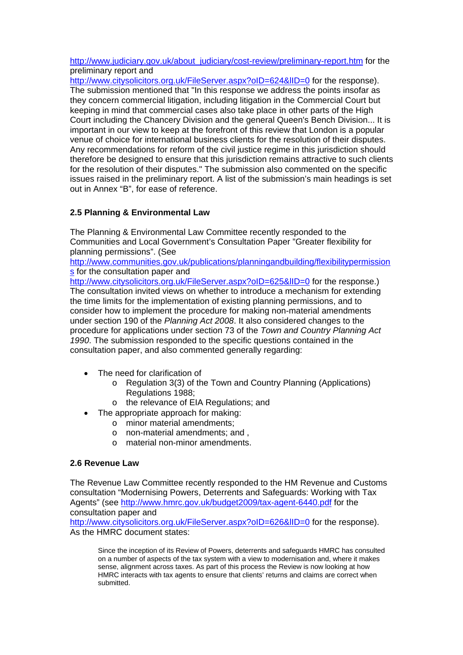[http://www.judiciary.gov.uk/about\\_judiciary/cost-review/preliminary-report.htm](http://www.judiciary.gov.uk/about_judiciary/cost-review/preliminary-report.htm) for the preliminary report and

http://www.citysolicitors.org.uk/FileServer.aspx?oID=624&IID=0 for the response). The submission mentioned that "In this response we address the points insofar as they concern commercial litigation, including litigation in the Commercial Court but keeping in mind that commercial cases also take place in other parts of the High Court including the Chancery Division and the general Queen's Bench Division... It is important in our view to keep at the forefront of this review that London is a popular venue of choice for international business clients for the resolution of their disputes. Any recommendations for reform of the civil justice regime in this jurisdiction should therefore be designed to ensure that this jurisdiction remains attractive to such clients for the resolution of their disputes." The submission also commented on the specific issues raised in the preliminary report. A list of the submission's main headings is set out in Annex "B", for ease of reference.

# **2.5 Planning & Environmental Law**

The Planning & Environmental Law Committee recently responded to the Communities and Local Government's Consultation Paper "Greater flexibility for planning permissions". (See

[http://www.communities.gov.uk/publications/planningandbuilding/flexibilitypermission](http://www.communities.gov.uk/publications/planningandbuilding/flexibilitypermissions) [s](http://www.communities.gov.uk/publications/planningandbuilding/flexibilitypermissions) for the consultation paper and

http://www.citysolicitors.org.uk/FileServer.aspx?oID=625&IID=0 for the response.) The consultation invited views on whether to introduce a mechanism for extending the time limits for the implementation of existing planning permissions, and to consider how to implement the procedure for making non-material amendments under section 190 of the *Planning Act 2008*. It also considered changes to the procedure for applications under section 73 of the *Town and Country Planning Act 1990*. The submission responded to the specific questions contained in the consultation paper, and also commented generally regarding:

- The need for clarification of
	- o Regulation 3(3) of the Town and Country Planning (Applications) Regulations 1988;
	- o the relevance of EIA Regulations; and
- The appropriate approach for making:
	- o minor material amendments;
	- o non-material amendments; and ,
	- o material non-minor amendments.

#### **2.6 Revenue Law**

The Revenue Law Committee recently responded to the HM Revenue and Customs consultation "Modernising Powers, Deterrents and Safeguards: Working with Tax Agents" (see<http://www.hmrc.gov.uk/budget2009/tax-agent-6440.pdf> for the consultation paper and http://www.citysolicitors.org.uk/FileServer.aspx?oID=626&IID=0 for the response). As the HMRC document states:

Since the inception of its Review of Powers, deterrents and safeguards HMRC has consulted on a number of aspects of the tax system with a view to modernisation and, where it makes sense, alignment across taxes. As part of this process the Review is now looking at how HMRC interacts with tax agents to ensure that clients' returns and claims are correct when submitted.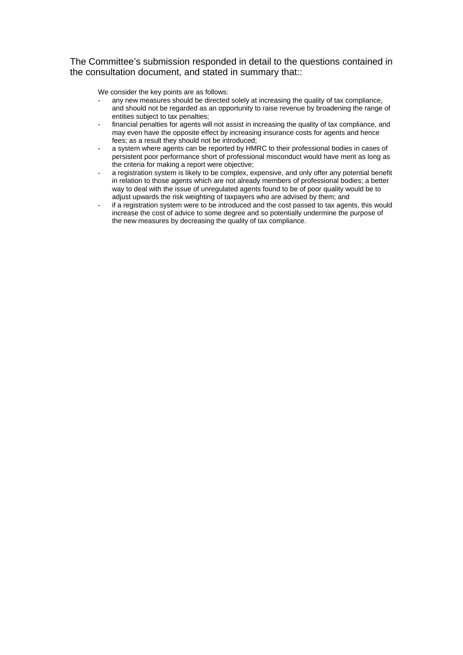The Committee's submission responded in detail to the questions contained in the consultation document, and stated in summary that::

We consider the key points are as follows:

- any new measures should be directed solely at increasing the quality of tax compliance, and should not be regarded as an opportunity to raise revenue by broadening the range of entities subject to tax penalties;
- financial penalties for agents will not assist in increasing the quality of tax compliance, and may even have the opposite effect by increasing insurance costs for agents and hence fees; as a result they should not be introduced;
- a system where agents can be reported by HMRC to their professional bodies in cases of persistent poor performance short of professional misconduct would have merit as long as the criteria for making a report were objective;
- a registration system is likely to be complex, expensive, and only offer any potential benefit in relation to those agents which are not already members of professional bodies; a better way to deal with the issue of unregulated agents found to be of poor quality would be to adjust upwards the risk weighting of taxpayers who are advised by them; and
- if a registration system were to be introduced and the cost passed to tax agents, this would increase the cost of advice to some degree and so potentially undermine the purpose of the new measures by decreasing the quality of tax compliance.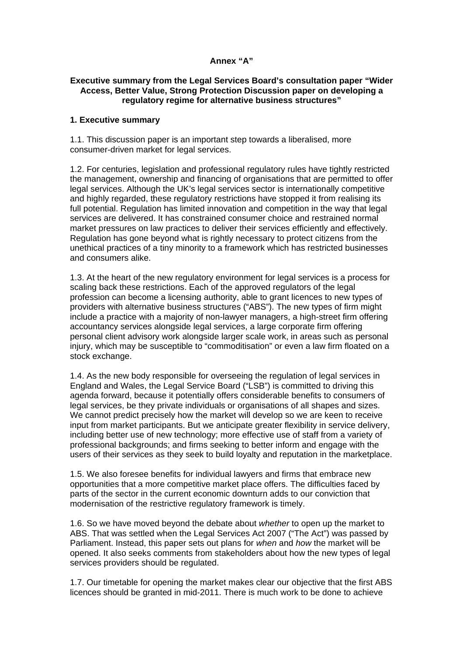## **Annex "A"**

## **Executive summary from the Legal Services Board's consultation paper "Wider Access, Better Value, Strong Protection Discussion paper on developing a regulatory regime for alternative business structures"**

## **1. Executive summary**

1.1. This discussion paper is an important step towards a liberalised, more consumer-driven market for legal services.

1.2. For centuries, legislation and professional regulatory rules have tightly restricted the management, ownership and financing of organisations that are permitted to offer legal services. Although the UK's legal services sector is internationally competitive and highly regarded, these regulatory restrictions have stopped it from realising its full potential. Regulation has limited innovation and competition in the way that legal services are delivered. It has constrained consumer choice and restrained normal market pressures on law practices to deliver their services efficiently and effectively. Regulation has gone beyond what is rightly necessary to protect citizens from the unethical practices of a tiny minority to a framework which has restricted businesses and consumers alike.

1.3. At the heart of the new regulatory environment for legal services is a process for scaling back these restrictions. Each of the approved regulators of the legal profession can become a licensing authority, able to grant licences to new types of providers with alternative business structures ("ABS"). The new types of firm might include a practice with a majority of non-lawyer managers, a high-street firm offering accountancy services alongside legal services, a large corporate firm offering personal client advisory work alongside larger scale work, in areas such as personal injury, which may be susceptible to "commoditisation" or even a law firm floated on a stock exchange.

1.4. As the new body responsible for overseeing the regulation of legal services in England and Wales, the Legal Service Board ("LSB") is committed to driving this agenda forward, because it potentially offers considerable benefits to consumers of legal services, be they private individuals or organisations of all shapes and sizes. We cannot predict precisely how the market will develop so we are keen to receive input from market participants. But we anticipate greater flexibility in service delivery, including better use of new technology; more effective use of staff from a variety of professional backgrounds; and firms seeking to better inform and engage with the users of their services as they seek to build loyalty and reputation in the marketplace.

1.5. We also foresee benefits for individual lawyers and firms that embrace new opportunities that a more competitive market place offers. The difficulties faced by parts of the sector in the current economic downturn adds to our conviction that modernisation of the restrictive regulatory framework is timely.

1.6. So we have moved beyond the debate about *whether* to open up the market to ABS. That was settled when the Legal Services Act 2007 ("The Act") was passed by Parliament. Instead, this paper sets out plans for *when* and *how* the market will be opened. It also seeks comments from stakeholders about how the new types of legal services providers should be regulated.

1.7. Our timetable for opening the market makes clear our objective that the first ABS licences should be granted in mid-2011. There is much work to be done to achieve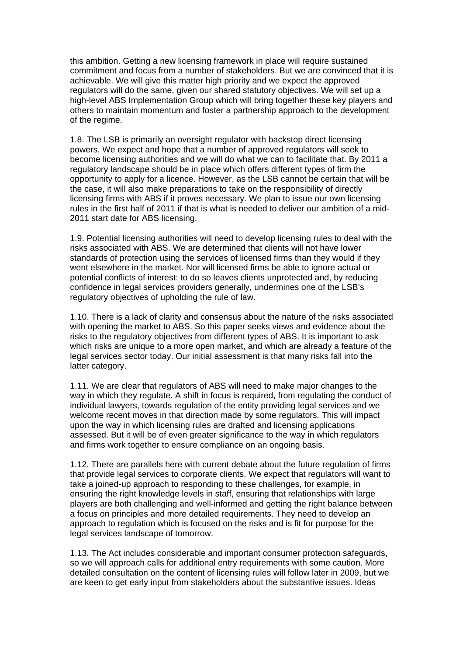this ambition. Getting a new licensing framework in place will require sustained commitment and focus from a number of stakeholders. But we are convinced that it is achievable. We will give this matter high priority and we expect the approved regulators will do the same, given our shared statutory objectives. We will set up a high-level ABS Implementation Group which will bring together these key players and others to maintain momentum and foster a partnership approach to the development of the regime.

1.8. The LSB is primarily an oversight regulator with backstop direct licensing powers. We expect and hope that a number of approved regulators will seek to become licensing authorities and we will do what we can to facilitate that. By 2011 a regulatory landscape should be in place which offers different types of firm the opportunity to apply for a licence. However, as the LSB cannot be certain that will be the case, it will also make preparations to take on the responsibility of directly licensing firms with ABS if it proves necessary. We plan to issue our own licensing rules in the first half of 2011 if that is what is needed to deliver our ambition of a mid-2011 start date for ABS licensing.

1.9. Potential licensing authorities will need to develop licensing rules to deal with the risks associated with ABS. We are determined that clients will not have lower standards of protection using the services of licensed firms than they would if they went elsewhere in the market. Nor will licensed firms be able to ignore actual or potential conflicts of interest: to do so leaves clients unprotected and, by reducing confidence in legal services providers generally, undermines one of the LSB's regulatory objectives of upholding the rule of law.

1.10. There is a lack of clarity and consensus about the nature of the risks associated with opening the market to ABS. So this paper seeks views and evidence about the risks to the regulatory objectives from different types of ABS. It is important to ask which risks are unique to a more open market, and which are already a feature of the legal services sector today. Our initial assessment is that many risks fall into the latter category.

1.11. We are clear that regulators of ABS will need to make major changes to the way in which they regulate. A shift in focus is required, from regulating the conduct of individual lawyers, towards regulation of the entity providing legal services and we welcome recent moves in that direction made by some regulators. This will impact upon the way in which licensing rules are drafted and licensing applications assessed. But it will be of even greater significance to the way in which regulators and firms work together to ensure compliance on an ongoing basis.

1.12. There are parallels here with current debate about the future regulation of firms that provide legal services to corporate clients. We expect that regulators will want to take a joined-up approach to responding to these challenges, for example, in ensuring the right knowledge levels in staff, ensuring that relationships with large players are both challenging and well-informed and getting the right balance between a focus on principles and more detailed requirements. They need to develop an approach to regulation which is focused on the risks and is fit for purpose for the legal services landscape of tomorrow.

1.13. The Act includes considerable and important consumer protection safeguards, so we will approach calls for additional entry requirements with some caution. More detailed consultation on the content of licensing rules will follow later in 2009, but we are keen to get early input from stakeholders about the substantive issues. Ideas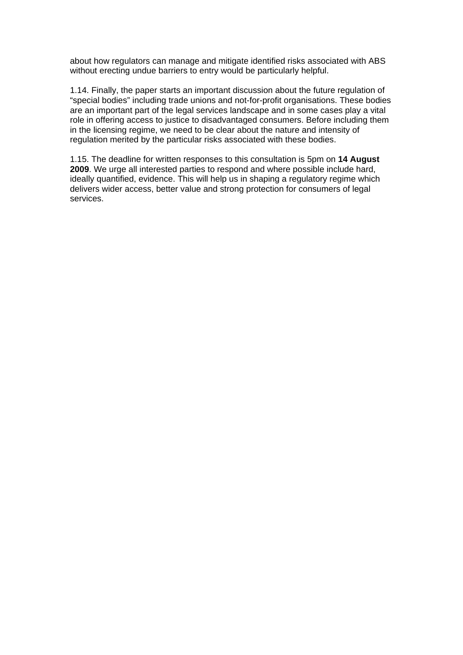about how regulators can manage and mitigate identified risks associated with ABS without erecting undue barriers to entry would be particularly helpful.

1.14. Finally, the paper starts an important discussion about the future regulation of "special bodies" including trade unions and not-for-profit organisations. These bodies are an important part of the legal services landscape and in some cases play a vital role in offering access to justice to disadvantaged consumers. Before including them in the licensing regime, we need to be clear about the nature and intensity of regulation merited by the particular risks associated with these bodies.

1.15. The deadline for written responses to this consultation is 5pm on **14 August 2009**. We urge all interested parties to respond and where possible include hard, ideally quantified, evidence. This will help us in shaping a regulatory regime which delivers wider access, better value and strong protection for consumers of legal services.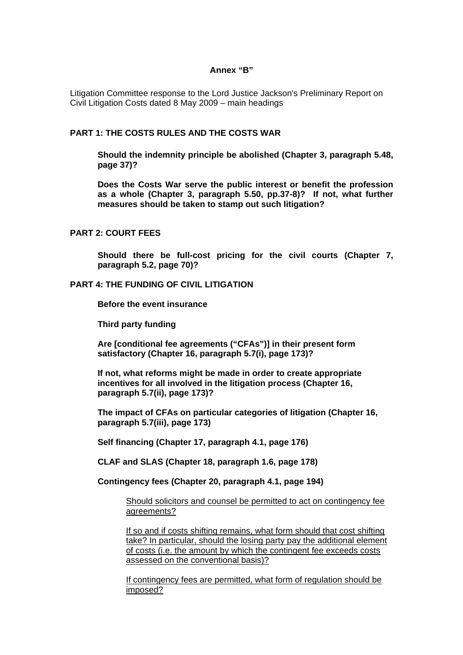#### **Annex "B"**

Litigation Committee response to the Lord Justice Jackson's Preliminary Report on Civil Litigation Costs dated 8 May 2009 – main headings

## **PART 1: THE COSTS RULES AND THE COSTS WAR**

**Should the indemnity principle be abolished (Chapter 3, paragraph 5.48, page 37)?**

**Does the Costs War serve the public interest or benefit the profession as a whole (Chapter 3, paragraph 5.50, pp.37-8)? If not, what further measures should be taken to stamp out such litigation?** 

## **PART 2: COURT FEES**

**Should there be full-cost pricing for the civil courts (Chapter 7, paragraph 5.2, page 70)?** 

#### **PART 4: THE FUNDING OF CIVIL LITIGATION**

**Before the event insurance** 

**Third party funding** 

**Are [conditional fee agreements ("CFAs")] in their present form satisfactory (Chapter 16, paragraph 5.7(i), page 173)?** 

**If not, what reforms might be made in order to create appropriate incentives for all involved in the litigation process (Chapter 16, paragraph 5.7(ii), page 173)?** 

**The impact of CFAs on particular categories of litigation (Chapter 16, paragraph 5.7(iii), page 173)** 

**Self financing (Chapter 17, paragraph 4.1, page 176)** 

**CLAF and SLAS (Chapter 18, paragraph 1.6, page 178)** 

**Contingency fees (Chapter 20, paragraph 4.1, page 194)** 

Should solicitors and counsel be permitted to act on contingency fee agreements?

If so and if costs shifting remains, what form should that cost shifting take? In particular, should the losing party pay the additional element of costs (i.e. the amount by which the contingent fee exceeds costs assessed on the conventional basis)?

If contingency fees are permitted, what form of regulation should be imposed?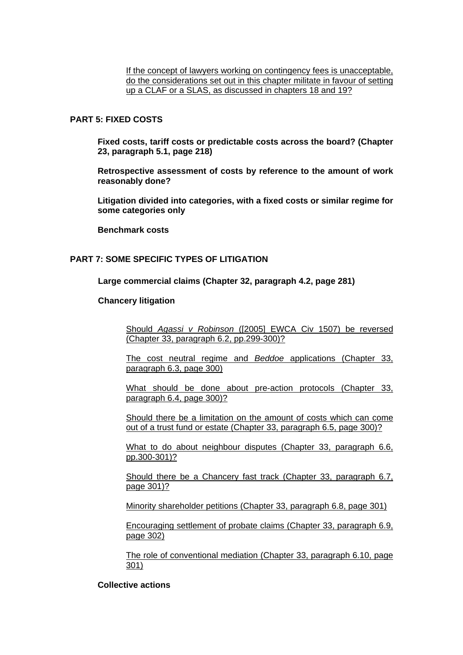If the concept of lawyers working on contingency fees is unacceptable, do the considerations set out in this chapter militate in favour of setting up a CLAF or a SLAS, as discussed in chapters 18 and 19?

## **PART 5: FIXED COSTS**

**Fixed costs, tariff costs or predictable costs across the board? (Chapter 23, paragraph 5.1, page 218)**

**Retrospective assessment of costs by reference to the amount of work reasonably done?**

**Litigation divided into categories, with a fixed costs or similar regime for some categories only**

**Benchmark costs** 

#### **PART 7: SOME SPECIFIC TYPES OF LITIGATION**

#### **Large commercial claims (Chapter 32, paragraph 4.2, page 281)**

#### **Chancery litigation**

Should *Agassi v Robinson* ([2005] EWCA Civ 1507) be reversed (Chapter 33, paragraph 6.2, pp.299-300)?

The cost neutral regime and *Beddoe* applications (Chapter 33, paragraph 6.3, page 300)

What should be done about pre-action protocols (Chapter 33, paragraph 6.4, page 300)?

Should there be a limitation on the amount of costs which can come out of a trust fund or estate (Chapter 33, paragraph 6.5, page 300)?

What to do about neighbour disputes (Chapter 33, paragraph 6.6, pp.300-301)?

Should there be a Chancery fast track (Chapter 33, paragraph 6.7, page 301)?

Minority shareholder petitions (Chapter 33, paragraph 6.8, page 301)

Encouraging settlement of probate claims (Chapter 33, paragraph 6.9, page 302)

The role of conventional mediation (Chapter 33, paragraph 6.10, page 301)

# **Collective actions**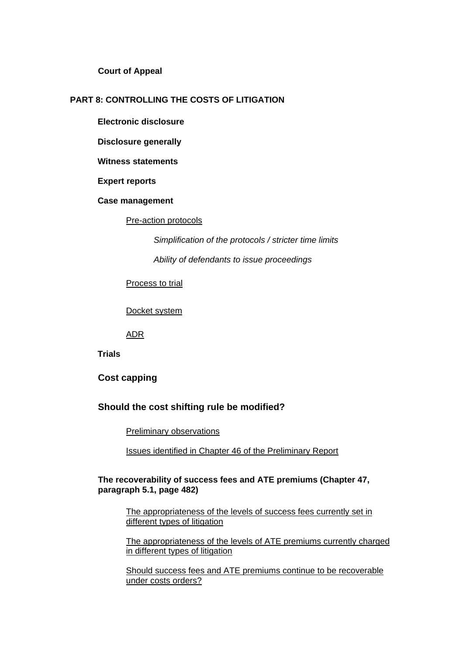**Court of Appeal** 

## **PART 8: CONTROLLING THE COSTS OF LITIGATION**

**Electronic disclosure** 

**Disclosure generally** 

**Witness statements** 

**Expert reports** 

**Case management** 

Pre-action protocols

*Simplification of the protocols / stricter time limits* 

*Ability of defendants to issue proceedings*

Process to trial

Docket system

ADR

**Trials** 

**Cost capping** 

## **Should the cost shifting rule be modified?**

Preliminary observations

Issues identified in Chapter 46 of the Preliminary Report

## **The recoverability of success fees and ATE premiums (Chapter 47, paragraph 5.1, page 482)**

The appropriateness of the levels of success fees currently set in different types of litigation

The appropriateness of the levels of ATE premiums currently charged in different types of litigation

Should success fees and ATE premiums continue to be recoverable under costs orders?